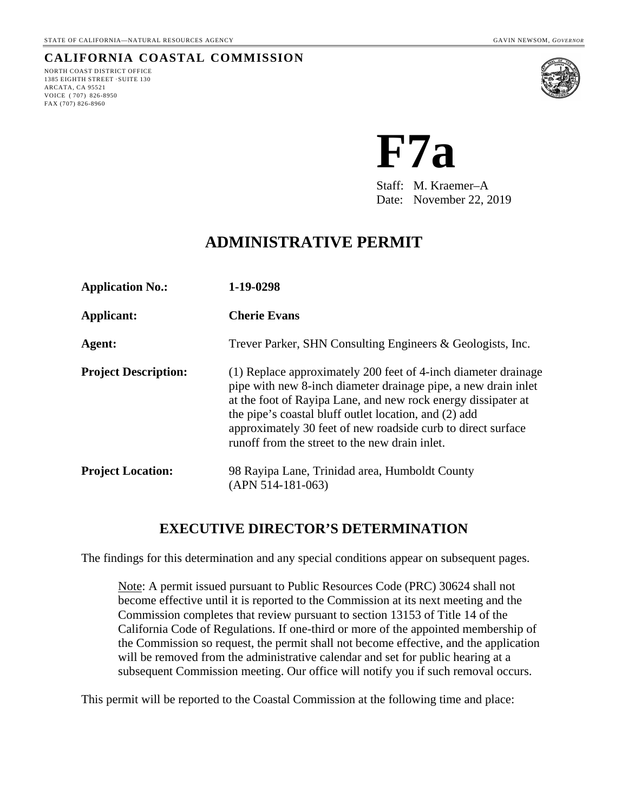## **CALIFORNIA COASTAL COMMISSION**

NORTH COAST DISTRICT OFFICE 1385 EIGHTH STREET ·SUITE 130 ARCATA, CA 95521 VOICE ( 707) 826-8950 FAX (707) 826-8960



**F7a**

Staff: M. Kraemer–A Date: November 22, 2019

# **ADMINISTRATIVE PERMIT**

| <b>Application No.:</b>     | 1-19-0298                                                                                                                                                                                                                                                                                                                                                                    |
|-----------------------------|------------------------------------------------------------------------------------------------------------------------------------------------------------------------------------------------------------------------------------------------------------------------------------------------------------------------------------------------------------------------------|
| Applicant:                  | <b>Cherie Evans</b>                                                                                                                                                                                                                                                                                                                                                          |
| Agent:                      | Trever Parker, SHN Consulting Engineers & Geologists, Inc.                                                                                                                                                                                                                                                                                                                   |
| <b>Project Description:</b> | (1) Replace approximately 200 feet of 4-inch diameter drainage<br>pipe with new 8-inch diameter drainage pipe, a new drain inlet<br>at the foot of Rayipa Lane, and new rock energy dissipater at<br>the pipe's coastal bluff outlet location, and (2) add<br>approximately 30 feet of new roadside curb to direct surface<br>runoff from the street to the new drain inlet. |
| <b>Project Location:</b>    | 98 Rayipa Lane, Trinidad area, Humboldt County<br>$(APN 514-181-063)$                                                                                                                                                                                                                                                                                                        |

## **EXECUTIVE DIRECTOR'S DETERMINATION**

The findings for this determination and any special conditions appear on subsequent pages.

Note: A permit issued pursuant to Public Resources Code (PRC) 30624 shall not become effective until it is reported to the Commission at its next meeting and the Commission completes that review pursuant to section 13153 of Title 14 of the California Code of Regulations. If one-third or more of the appointed membership of the Commission so request, the permit shall not become effective, and the application will be removed from the administrative calendar and set for public hearing at a subsequent Commission meeting. Our office will notify you if such removal occurs.

This permit will be reported to the Coastal Commission at the following time and place: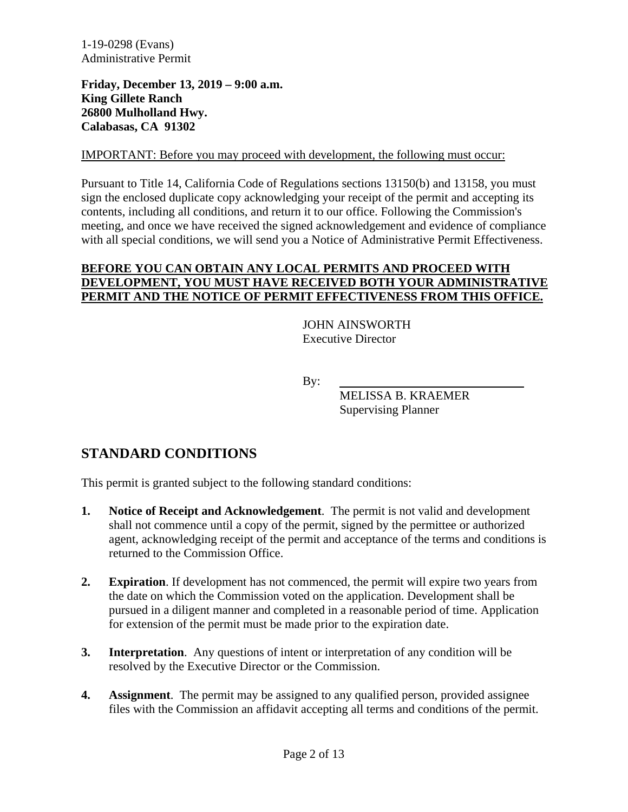**Friday, December 13, 2019 – 9:00 a.m. King Gillete Ranch 26800 Mulholland Hwy. Calabasas, CA 91302**

#### IMPORTANT: Before you may proceed with development, the following must occur:

Pursuant to Title 14, California Code of Regulations sections 13150(b) and 13158, you must sign the enclosed duplicate copy acknowledging your receipt of the permit and accepting its contents, including all conditions, and return it to our office. Following the Commission's meeting, and once we have received the signed acknowledgement and evidence of compliance with all special conditions, we will send you a Notice of Administrative Permit Effectiveness.

#### **BEFORE YOU CAN OBTAIN ANY LOCAL PERMITS AND PROCEED WITH DEVELOPMENT, YOU MUST HAVE RECEIVED BOTH YOUR ADMINISTRATIVE PERMIT AND THE NOTICE OF PERMIT EFFECTIVENESS FROM THIS OFFICE.**

JOHN AINSWORTH Executive Director

By:

MELISSA B. KRAEMER Supervising Planner

# **STANDARD CONDITIONS**

This permit is granted subject to the following standard conditions:

- **1. Notice of Receipt and Acknowledgement**. The permit is not valid and development shall not commence until a copy of the permit, signed by the permittee or authorized agent, acknowledging receipt of the permit and acceptance of the terms and conditions is returned to the Commission Office.
- **2. Expiration**. If development has not commenced, the permit will expire two years from the date on which the Commission voted on the application. Development shall be pursued in a diligent manner and completed in a reasonable period of time. Application for extension of the permit must be made prior to the expiration date.
- **3. Interpretation**. Any questions of intent or interpretation of any condition will be resolved by the Executive Director or the Commission.
- **4. Assignment**. The permit may be assigned to any qualified person, provided assignee files with the Commission an affidavit accepting all terms and conditions of the permit.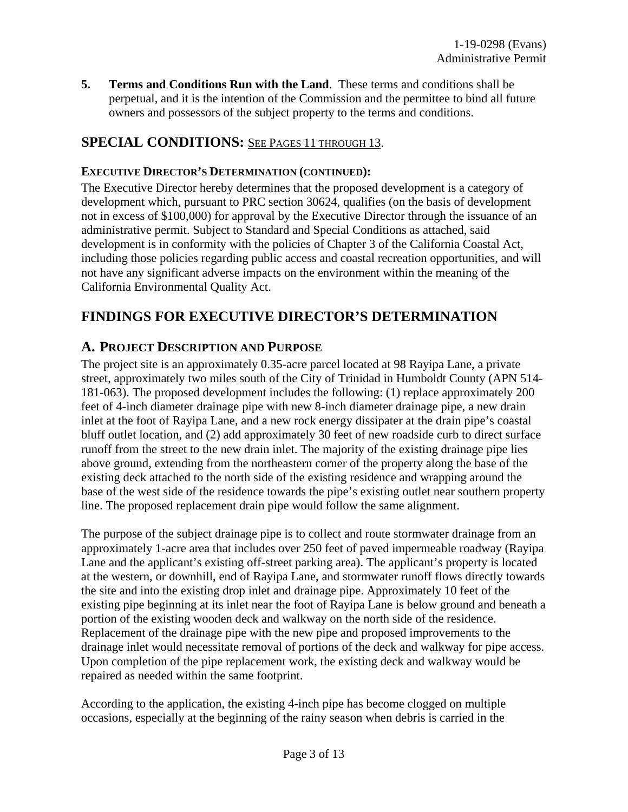**5. Terms and Conditions Run with the Land**. These terms and conditions shall be perpetual, and it is the intention of the Commission and the permittee to bind all future owners and possessors of the subject property to the terms and conditions.

## **SPECIAL CONDITIONS:** SEE PAGES 11 THROUGH 13.

#### **EXECUTIVE DIRECTOR'S DETERMINATION (CONTINUED):**

The Executive Director hereby determines that the proposed development is a category of development which, pursuant to PRC section 30624, qualifies (on the basis of development not in excess of \$100,000) for approval by the Executive Director through the issuance of an administrative permit. Subject to Standard and Special Conditions as attached, said development is in conformity with the policies of Chapter 3 of the California Coastal Act, including those policies regarding public access and coastal recreation opportunities, and will not have any significant adverse impacts on the environment within the meaning of the California Environmental Quality Act.

## **FINDINGS FOR EXECUTIVE DIRECTOR'S DETERMINATION**

#### **A. PROJECT DESCRIPTION AND PURPOSE**

The project site is an approximately 0.35-acre parcel located at 98 Rayipa Lane, a private street, approximately two miles south of the City of Trinidad in Humboldt County (APN 514- 181-063). The proposed development includes the following: (1) replace approximately 200 feet of 4-inch diameter drainage pipe with new 8-inch diameter drainage pipe, a new drain inlet at the foot of Rayipa Lane, and a new rock energy dissipater at the drain pipe's coastal bluff outlet location, and (2) add approximately 30 feet of new roadside curb to direct surface runoff from the street to the new drain inlet. The majority of the existing drainage pipe lies above ground, extending from the northeastern corner of the property along the base of the existing deck attached to the north side of the existing residence and wrapping around the base of the west side of the residence towards the pipe's existing outlet near southern property line. The proposed replacement drain pipe would follow the same alignment.

The purpose of the subject drainage pipe is to collect and route stormwater drainage from an approximately 1-acre area that includes over 250 feet of paved impermeable roadway (Rayipa Lane and the applicant's existing off-street parking area). The applicant's property is located at the western, or downhill, end of Rayipa Lane, and stormwater runoff flows directly towards the site and into the existing drop inlet and drainage pipe. Approximately 10 feet of the existing pipe beginning at its inlet near the foot of Rayipa Lane is below ground and beneath a portion of the existing wooden deck and walkway on the north side of the residence. Replacement of the drainage pipe with the new pipe and proposed improvements to the drainage inlet would necessitate removal of portions of the deck and walkway for pipe access. Upon completion of the pipe replacement work, the existing deck and walkway would be repaired as needed within the same footprint.

According to the application, the existing 4-inch pipe has become clogged on multiple occasions, especially at the beginning of the rainy season when debris is carried in the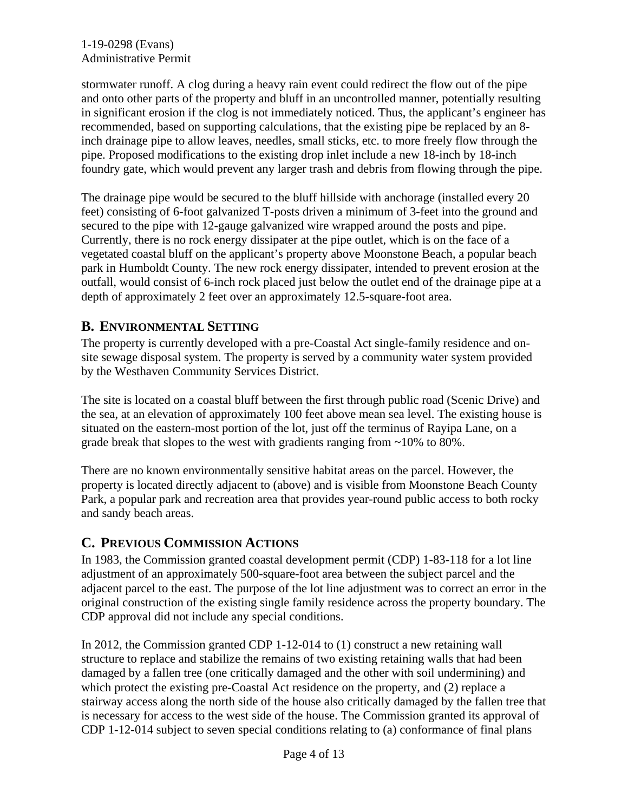stormwater runoff. A clog during a heavy rain event could redirect the flow out of the pipe and onto other parts of the property and bluff in an uncontrolled manner, potentially resulting in significant erosion if the clog is not immediately noticed. Thus, the applicant's engineer has recommended, based on supporting calculations, that the existing pipe be replaced by an 8 inch drainage pipe to allow leaves, needles, small sticks, etc. to more freely flow through the pipe. Proposed modifications to the existing drop inlet include a new 18-inch by 18-inch foundry gate, which would prevent any larger trash and debris from flowing through the pipe.

The drainage pipe would be secured to the bluff hillside with anchorage (installed every 20 feet) consisting of 6-foot galvanized T-posts driven a minimum of 3-feet into the ground and secured to the pipe with 12-gauge galvanized wire wrapped around the posts and pipe. Currently, there is no rock energy dissipater at the pipe outlet, which is on the face of a vegetated coastal bluff on the applicant's property above Moonstone Beach, a popular beach park in Humboldt County. The new rock energy dissipater, intended to prevent erosion at the outfall, would consist of 6-inch rock placed just below the outlet end of the drainage pipe at a depth of approximately 2 feet over an approximately 12.5-square-foot area.

## **B. ENVIRONMENTAL SETTING**

The property is currently developed with a pre-Coastal Act single-family residence and onsite sewage disposal system. The property is served by a community water system provided by the Westhaven Community Services District.

The site is located on a coastal bluff between the first through public road (Scenic Drive) and the sea, at an elevation of approximately 100 feet above mean sea level. The existing house is situated on the eastern-most portion of the lot, just off the terminus of Rayipa Lane, on a grade break that slopes to the west with gradients ranging from ~10% to 80%.

There are no known environmentally sensitive habitat areas on the parcel. However, the property is located directly adjacent to (above) and is visible from Moonstone Beach County Park, a popular park and recreation area that provides year-round public access to both rocky and sandy beach areas.

## **C. PREVIOUS COMMISSION ACTIONS**

In 1983, the Commission granted coastal development permit (CDP) 1-83-118 for a lot line adjustment of an approximately 500-square-foot area between the subject parcel and the adjacent parcel to the east. The purpose of the lot line adjustment was to correct an error in the original construction of the existing single family residence across the property boundary. The CDP approval did not include any special conditions.

In 2012, the Commission granted CDP 1-12-014 to (1) construct a new retaining wall structure to replace and stabilize the remains of two existing retaining walls that had been damaged by a fallen tree (one critically damaged and the other with soil undermining) and which protect the existing pre-Coastal Act residence on the property, and (2) replace a stairway access along the north side of the house also critically damaged by the fallen tree that is necessary for access to the west side of the house. The Commission granted its approval of CDP 1-12-014 subject to seven special conditions relating to (a) conformance of final plans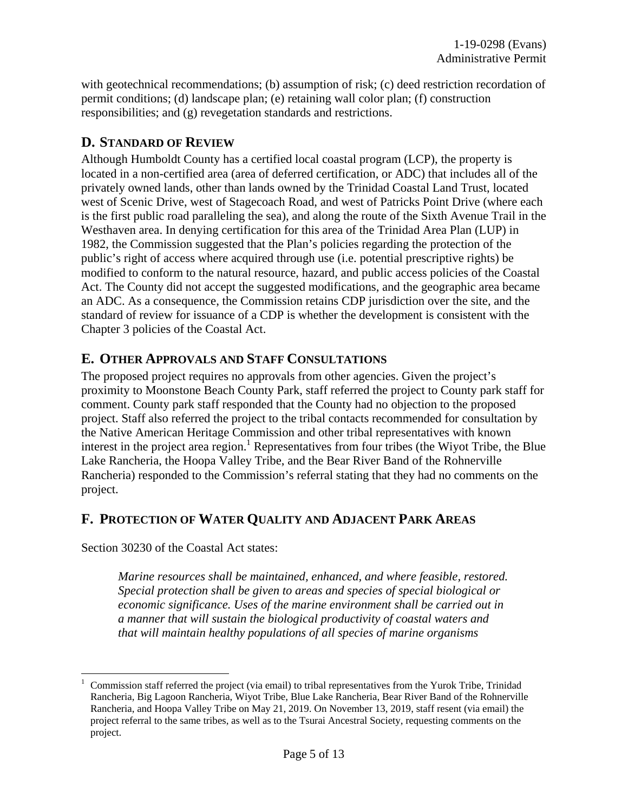with geotechnical recommendations; (b) assumption of risk; (c) deed restriction recordation of permit conditions; (d) landscape plan; (e) retaining wall color plan; (f) construction responsibilities; and (g) revegetation standards and restrictions.

## **D. STANDARD OF REVIEW**

Although Humboldt County has a certified local coastal program (LCP), the property is located in a non-certified area (area of deferred certification, or ADC) that includes all of the privately owned lands, other than lands owned by the Trinidad Coastal Land Trust, located west of Scenic Drive, west of Stagecoach Road, and west of Patricks Point Drive (where each is the first public road paralleling the sea), and along the route of the Sixth Avenue Trail in the Westhaven area. In denying certification for this area of the Trinidad Area Plan (LUP) in 1982, the Commission suggested that the Plan's policies regarding the protection of the public's right of access where acquired through use (i.e. potential prescriptive rights) be modified to conform to the natural resource, hazard, and public access policies of the Coastal Act. The County did not accept the suggested modifications, and the geographic area became an ADC. As a consequence, the Commission retains CDP jurisdiction over the site, and the standard of review for issuance of a CDP is whether the development is consistent with the Chapter 3 policies of the Coastal Act.

## **E. OTHER APPROVALS AND STAFF CONSULTATIONS**

The proposed project requires no approvals from other agencies. Given the project's proximity to Moonstone Beach County Park, staff referred the project to County park staff for comment. County park staff responded that the County had no objection to the proposed project. Staff also referred the project to the tribal contacts recommended for consultation by the Native American Heritage Commission and other tribal representatives with known interest in the project area region.<sup>1</sup> Representatives from four tribes (the Wiyot Tribe, the Blue Lake Rancheria, the Hoopa Valley Tribe, and the Bear River Band of the Rohnerville Rancheria) responded to the Commission's referral stating that they had no comments on the project.

## **F. PROTECTION OF WATER QUALITY AND ADJACENT PARK AREAS**

Section 30230 of the Coastal Act states:

*Marine resources shall be maintained, enhanced, and where feasible, restored. Special protection shall be given to areas and species of special biological or economic significance. Uses of the marine environment shall be carried out in a manner that will sustain the biological productivity of coastal waters and that will maintain healthy populations of all species of marine organisms* 

 <sup>1</sup> Commission staff referred the project (via email) to tribal representatives from the Yurok Tribe, Trinidad Rancheria, Big Lagoon Rancheria, Wiyot Tribe, Blue Lake Rancheria, Bear River Band of the Rohnerville Rancheria, and Hoopa Valley Tribe on May 21, 2019. On November 13, 2019, staff resent (via email) the project referral to the same tribes, as well as to the Tsurai Ancestral Society, requesting comments on the project.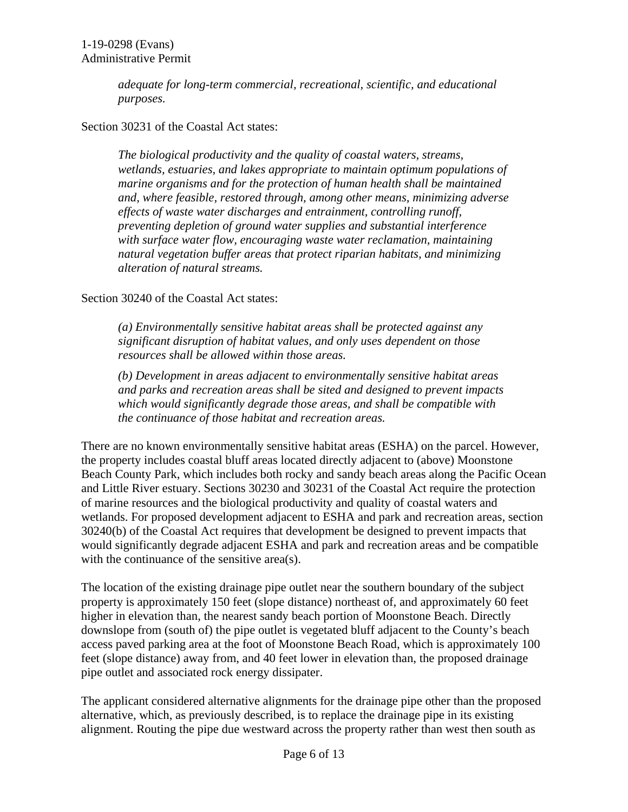*adequate for long-term commercial, recreational, scientific, and educational purposes.*

#### Section 30231 of the Coastal Act states:

*The biological productivity and the quality of coastal waters, streams, wetlands, estuaries, and lakes appropriate to maintain optimum populations of marine organisms and for the protection of human health shall be maintained and, where feasible, restored through, among other means, minimizing adverse effects of waste water discharges and entrainment, controlling runoff, preventing depletion of ground water supplies and substantial interference with surface water flow, encouraging waste water reclamation, maintaining natural vegetation buffer areas that protect riparian habitats, and minimizing alteration of natural streams.*

#### Section 30240 of the Coastal Act states:

*(a) Environmentally sensitive habitat areas shall be protected against any significant disruption of habitat values, and only uses dependent on those resources shall be allowed within those areas.*

*(b) Development in areas adjacent to environmentally sensitive habitat areas and parks and recreation areas shall be sited and designed to prevent impacts which would significantly degrade those areas, and shall be compatible with the continuance of those habitat and recreation areas.*

There are no known environmentally sensitive habitat areas (ESHA) on the parcel. However, the property includes coastal bluff areas located directly adjacent to (above) Moonstone Beach County Park, which includes both rocky and sandy beach areas along the Pacific Ocean and Little River estuary. Sections 30230 and 30231 of the Coastal Act require the protection of marine resources and the biological productivity and quality of coastal waters and wetlands. For proposed development adjacent to ESHA and park and recreation areas, section 30240(b) of the Coastal Act requires that development be designed to prevent impacts that would significantly degrade adjacent ESHA and park and recreation areas and be compatible with the continuance of the sensitive area(s).

The location of the existing drainage pipe outlet near the southern boundary of the subject property is approximately 150 feet (slope distance) northeast of, and approximately 60 feet higher in elevation than, the nearest sandy beach portion of Moonstone Beach. Directly downslope from (south of) the pipe outlet is vegetated bluff adjacent to the County's beach access paved parking area at the foot of Moonstone Beach Road, which is approximately 100 feet (slope distance) away from, and 40 feet lower in elevation than, the proposed drainage pipe outlet and associated rock energy dissipater.

The applicant considered alternative alignments for the drainage pipe other than the proposed alternative, which, as previously described, is to replace the drainage pipe in its existing alignment. Routing the pipe due westward across the property rather than west then south as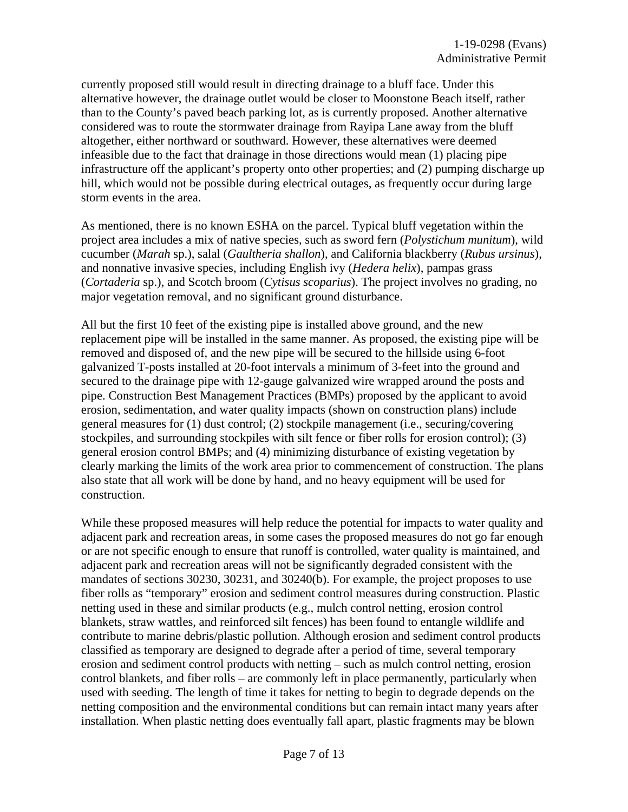currently proposed still would result in directing drainage to a bluff face. Under this alternative however, the drainage outlet would be closer to Moonstone Beach itself, rather than to the County's paved beach parking lot, as is currently proposed. Another alternative considered was to route the stormwater drainage from Rayipa Lane away from the bluff altogether, either northward or southward. However, these alternatives were deemed infeasible due to the fact that drainage in those directions would mean (1) placing pipe infrastructure off the applicant's property onto other properties; and (2) pumping discharge up hill, which would not be possible during electrical outages, as frequently occur during large storm events in the area.

As mentioned, there is no known ESHA on the parcel. Typical bluff vegetation within the project area includes a mix of native species, such as sword fern (*Polystichum munitum*), wild cucumber (*Marah* sp.), salal (*Gaultheria shallon*), and California blackberry (*Rubus ursinus*), and nonnative invasive species, including English ivy (*Hedera helix*), pampas grass (*Cortaderia* sp.), and Scotch broom (*Cytisus scoparius*). The project involves no grading, no major vegetation removal, and no significant ground disturbance.

All but the first 10 feet of the existing pipe is installed above ground, and the new replacement pipe will be installed in the same manner. As proposed, the existing pipe will be removed and disposed of, and the new pipe will be secured to the hillside using 6-foot galvanized T-posts installed at 20-foot intervals a minimum of 3-feet into the ground and secured to the drainage pipe with 12-gauge galvanized wire wrapped around the posts and pipe. Construction Best Management Practices (BMPs) proposed by the applicant to avoid erosion, sedimentation, and water quality impacts (shown on construction plans) include general measures for (1) dust control; (2) stockpile management (i.e., securing/covering stockpiles, and surrounding stockpiles with silt fence or fiber rolls for erosion control); (3) general erosion control BMPs; and (4) minimizing disturbance of existing vegetation by clearly marking the limits of the work area prior to commencement of construction. The plans also state that all work will be done by hand, and no heavy equipment will be used for construction.

While these proposed measures will help reduce the potential for impacts to water quality and adjacent park and recreation areas, in some cases the proposed measures do not go far enough or are not specific enough to ensure that runoff is controlled, water quality is maintained, and adjacent park and recreation areas will not be significantly degraded consistent with the mandates of sections 30230, 30231, and 30240(b). For example, the project proposes to use fiber rolls as "temporary" erosion and sediment control measures during construction. Plastic netting used in these and similar products (e.g., mulch control netting, erosion control blankets, straw wattles, and reinforced silt fences) has been found to entangle wildlife and contribute to marine debris/plastic pollution. Although erosion and sediment control products classified as temporary are designed to degrade after a period of time, several temporary erosion and sediment control products with netting – such as mulch control netting, erosion control blankets, and fiber rolls – are commonly left in place permanently, particularly when used with seeding. The length of time it takes for netting to begin to degrade depends on the netting composition and the environmental conditions but can remain intact many years after installation. When plastic netting does eventually fall apart, plastic fragments may be blown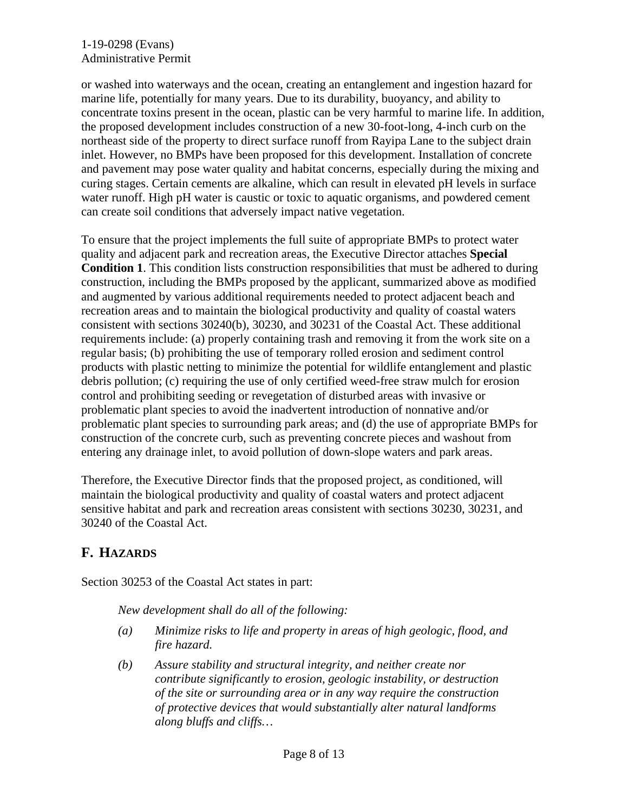or washed into waterways and the ocean, creating an entanglement and ingestion hazard for marine life, potentially for many years. Due to its durability, buoyancy, and ability to concentrate toxins present in the ocean, plastic can be very harmful to marine life. In addition, the proposed development includes construction of a new 30-foot-long, 4-inch curb on the northeast side of the property to direct surface runoff from Rayipa Lane to the subject drain inlet. However, no BMPs have been proposed for this development. Installation of concrete and pavement may pose water quality and habitat concerns, especially during the mixing and curing stages. Certain cements are alkaline, which can result in elevated pH levels in surface water runoff. High pH water is caustic or toxic to aquatic organisms, and powdered cement can create soil conditions that adversely impact native vegetation.

To ensure that the project implements the full suite of appropriate BMPs to protect water quality and adjacent park and recreation areas, the Executive Director attaches **Special Condition 1**. This condition lists construction responsibilities that must be adhered to during construction, including the BMPs proposed by the applicant, summarized above as modified and augmented by various additional requirements needed to protect adjacent beach and recreation areas and to maintain the biological productivity and quality of coastal waters consistent with sections 30240(b), 30230, and 30231 of the Coastal Act. These additional requirements include: (a) properly containing trash and removing it from the work site on a regular basis; (b) prohibiting the use of temporary rolled erosion and sediment control products with plastic netting to minimize the potential for wildlife entanglement and plastic debris pollution; (c) requiring the use of only certified weed-free straw mulch for erosion control and prohibiting seeding or revegetation of disturbed areas with invasive or problematic plant species to avoid the inadvertent introduction of nonnative and/or problematic plant species to surrounding park areas; and (d) the use of appropriate BMPs for construction of the concrete curb, such as preventing concrete pieces and washout from entering any drainage inlet, to avoid pollution of down-slope waters and park areas.

Therefore, the Executive Director finds that the proposed project, as conditioned, will maintain the biological productivity and quality of coastal waters and protect adjacent sensitive habitat and park and recreation areas consistent with sections 30230, 30231, and 30240 of the Coastal Act.

## **F. HAZARDS**

Section 30253 of the Coastal Act states in part:

*New development shall do all of the following:*

- *(a) Minimize risks to life and property in areas of high geologic, flood, and fire hazard.*
- *(b) Assure stability and structural integrity, and neither create nor contribute significantly to erosion, geologic instability, or destruction of the site or surrounding area or in any way require the construction of protective devices that would substantially alter natural landforms along bluffs and cliffs…*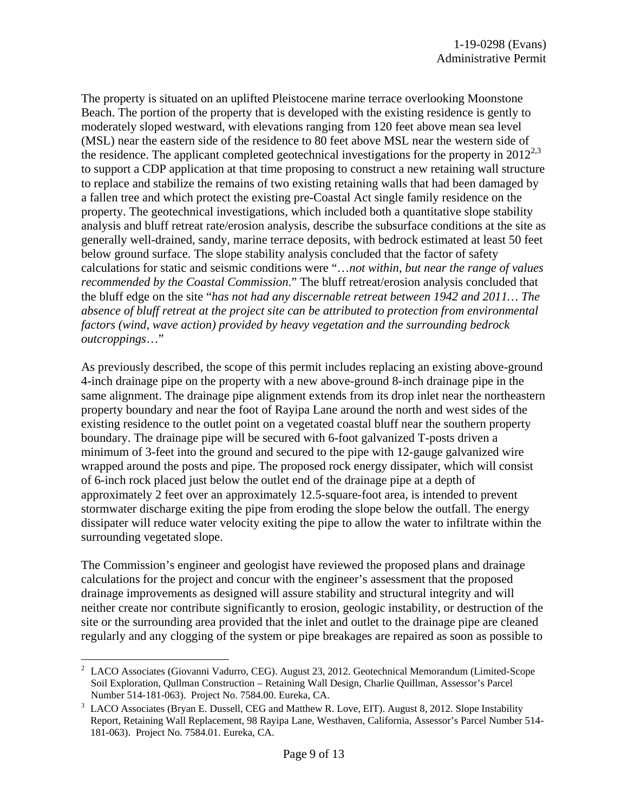The property is situated on an uplifted Pleistocene marine terrace overlooking Moonstone Beach. The portion of the property that is developed with the existing residence is gently to moderately sloped westward, with elevations ranging from 120 feet above mean sea level (MSL) near the eastern side of the residence to 80 feet above MSL near the western side of the residence. The applicant completed geotechnical investigations for the property in  $2012^{2,3}$ to support a CDP application at that time proposing to construct a new retaining wall structure to replace and stabilize the remains of two existing retaining walls that had been damaged by a fallen tree and which protect the existing pre-Coastal Act single family residence on the property. The geotechnical investigations, which included both a quantitative slope stability analysis and bluff retreat rate/erosion analysis, describe the subsurface conditions at the site as generally well-drained, sandy, marine terrace deposits, with bedrock estimated at least 50 feet below ground surface. The slope stability analysis concluded that the factor of safety calculations for static and seismic conditions were "…*not within, but near the range of values recommended by the Coastal Commission*." The bluff retreat/erosion analysis concluded that the bluff edge on the site "*has not had any discernable retreat between 1942 and 2011… The absence of bluff retreat at the project site can be attributed to protection from environmental factors (wind, wave action) provided by heavy vegetation and the surrounding bedrock outcroppings*…"

As previously described, the scope of this permit includes replacing an existing above-ground 4-inch drainage pipe on the property with a new above-ground 8-inch drainage pipe in the same alignment. The drainage pipe alignment extends from its drop inlet near the northeastern property boundary and near the foot of Rayipa Lane around the north and west sides of the existing residence to the outlet point on a vegetated coastal bluff near the southern property boundary. The drainage pipe will be secured with 6-foot galvanized T-posts driven a minimum of 3-feet into the ground and secured to the pipe with 12-gauge galvanized wire wrapped around the posts and pipe. The proposed rock energy dissipater, which will consist of 6-inch rock placed just below the outlet end of the drainage pipe at a depth of approximately 2 feet over an approximately 12.5-square-foot area, is intended to prevent stormwater discharge exiting the pipe from eroding the slope below the outfall. The energy dissipater will reduce water velocity exiting the pipe to allow the water to infiltrate within the surrounding vegetated slope.

The Commission's engineer and geologist have reviewed the proposed plans and drainage calculations for the project and concur with the engineer's assessment that the proposed drainage improvements as designed will assure stability and structural integrity and will neither create nor contribute significantly to erosion, geologic instability, or destruction of the site or the surrounding area provided that the inlet and outlet to the drainage pipe are cleaned regularly and any clogging of the system or pipe breakages are repaired as soon as possible to

 $2$  LACO Associates (Giovanni Vadurro, CEG). August 23, 2012. Geotechnical Memorandum (Limited-Scope Soil Exploration, Qullman Construction – Retaining Wall Design, Charlie Quillman, Assessor's Parcel Number 514-181-063). Project No. 7584.00. Eureka, CA.

LACO Associates (Bryan E. Dussell, CEG and Matthew R. Love, EIT). August 8, 2012. Slope Instability Report, Retaining Wall Replacement, 98 Rayipa Lane, Westhaven, California, Assessor's Parcel Number 514- 181-063). Project No. 7584.01. Eureka, CA.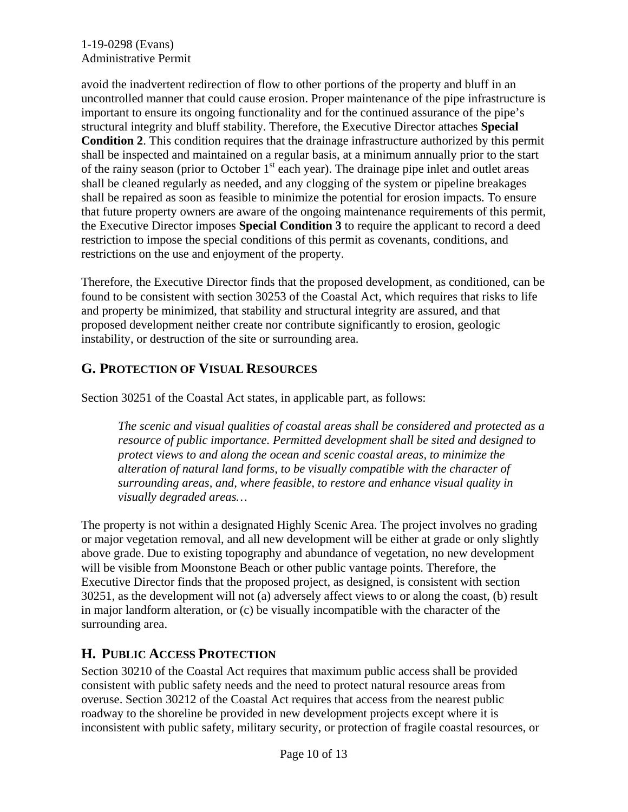avoid the inadvertent redirection of flow to other portions of the property and bluff in an uncontrolled manner that could cause erosion. Proper maintenance of the pipe infrastructure is important to ensure its ongoing functionality and for the continued assurance of the pipe's structural integrity and bluff stability. Therefore, the Executive Director attaches **Special Condition 2**. This condition requires that the drainage infrastructure authorized by this permit shall be inspected and maintained on a regular basis, at a minimum annually prior to the start of the rainy season (prior to October  $1<sup>st</sup>$  each year). The drainage pipe inlet and outlet areas shall be cleaned regularly as needed, and any clogging of the system or pipeline breakages shall be repaired as soon as feasible to minimize the potential for erosion impacts. To ensure that future property owners are aware of the ongoing maintenance requirements of this permit, the Executive Director imposes **Special Condition 3** to require the applicant to record a deed restriction to impose the special conditions of this permit as covenants, conditions, and restrictions on the use and enjoyment of the property.

Therefore, the Executive Director finds that the proposed development, as conditioned, can be found to be consistent with section 30253 of the Coastal Act, which requires that risks to life and property be minimized, that stability and structural integrity are assured, and that proposed development neither create nor contribute significantly to erosion, geologic instability, or destruction of the site or surrounding area.

## **G. PROTECTION OF VISUAL RESOURCES**

Section 30251 of the Coastal Act states, in applicable part, as follows:

*The scenic and visual qualities of coastal areas shall be considered and protected as a resource of public importance. Permitted development shall be sited and designed to protect views to and along the ocean and scenic coastal areas, to minimize the alteration of natural land forms, to be visually compatible with the character of surrounding areas, and, where feasible, to restore and enhance visual quality in visually degraded areas…*

The property is not within a designated Highly Scenic Area. The project involves no grading or major vegetation removal, and all new development will be either at grade or only slightly above grade. Due to existing topography and abundance of vegetation, no new development will be visible from Moonstone Beach or other public vantage points. Therefore, the Executive Director finds that the proposed project, as designed, is consistent with section 30251, as the development will not (a) adversely affect views to or along the coast, (b) result in major landform alteration, or (c) be visually incompatible with the character of the surrounding area.

# **H. PUBLIC ACCESS PROTECTION**

Section 30210 of the Coastal Act requires that maximum public access shall be provided consistent with public safety needs and the need to protect natural resource areas from overuse. Section 30212 of the Coastal Act requires that access from the nearest public roadway to the shoreline be provided in new development projects except where it is inconsistent with public safety, military security, or protection of fragile coastal resources, or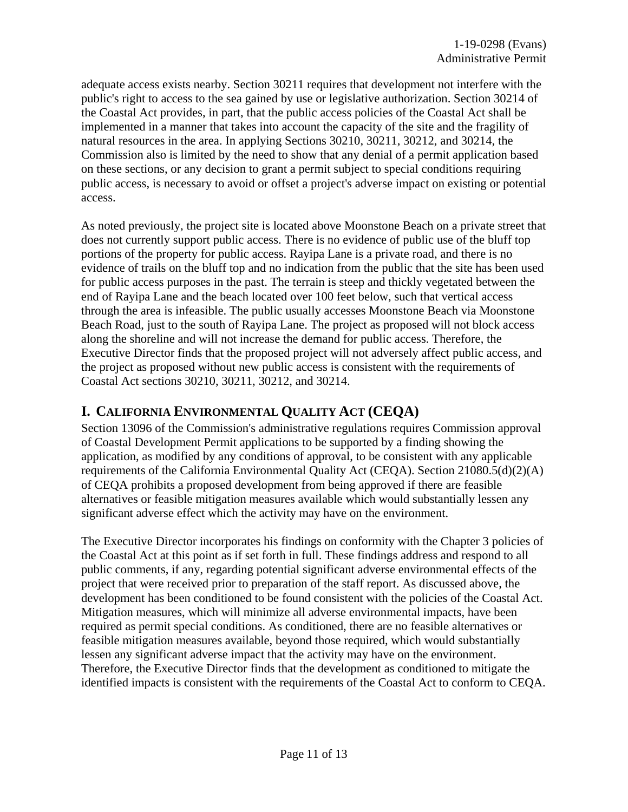adequate access exists nearby. Section 30211 requires that development not interfere with the public's right to access to the sea gained by use or legislative authorization. Section 30214 of the Coastal Act provides, in part, that the public access policies of the Coastal Act shall be implemented in a manner that takes into account the capacity of the site and the fragility of natural resources in the area. In applying Sections 30210, 30211, 30212, and 30214, the Commission also is limited by the need to show that any denial of a permit application based on these sections, or any decision to grant a permit subject to special conditions requiring public access, is necessary to avoid or offset a project's adverse impact on existing or potential access.

As noted previously, the project site is located above Moonstone Beach on a private street that does not currently support public access. There is no evidence of public use of the bluff top portions of the property for public access. Rayipa Lane is a private road, and there is no evidence of trails on the bluff top and no indication from the public that the site has been used for public access purposes in the past. The terrain is steep and thickly vegetated between the end of Rayipa Lane and the beach located over 100 feet below, such that vertical access through the area is infeasible. The public usually accesses Moonstone Beach via Moonstone Beach Road, just to the south of Rayipa Lane. The project as proposed will not block access along the shoreline and will not increase the demand for public access. Therefore, the Executive Director finds that the proposed project will not adversely affect public access, and the project as proposed without new public access is consistent with the requirements of Coastal Act sections 30210, 30211, 30212, and 30214.

## **I. CALIFORNIA ENVIRONMENTAL QUALITY ACT (CEQA)**

Section 13096 of the Commission's administrative regulations requires Commission approval of Coastal Development Permit applications to be supported by a finding showing the application, as modified by any conditions of approval, to be consistent with any applicable requirements of the California Environmental Quality Act (CEQA). Section 21080.5(d)(2)(A) of CEQA prohibits a proposed development from being approved if there are feasible alternatives or feasible mitigation measures available which would substantially lessen any significant adverse effect which the activity may have on the environment.

The Executive Director incorporates his findings on conformity with the Chapter 3 policies of the Coastal Act at this point as if set forth in full. These findings address and respond to all public comments, if any, regarding potential significant adverse environmental effects of the project that were received prior to preparation of the staff report. As discussed above, the development has been conditioned to be found consistent with the policies of the Coastal Act. Mitigation measures, which will minimize all adverse environmental impacts, have been required as permit special conditions. As conditioned, there are no feasible alternatives or feasible mitigation measures available, beyond those required, which would substantially lessen any significant adverse impact that the activity may have on the environment. Therefore, the Executive Director finds that the development as conditioned to mitigate the identified impacts is consistent with the requirements of the Coastal Act to conform to CEQA.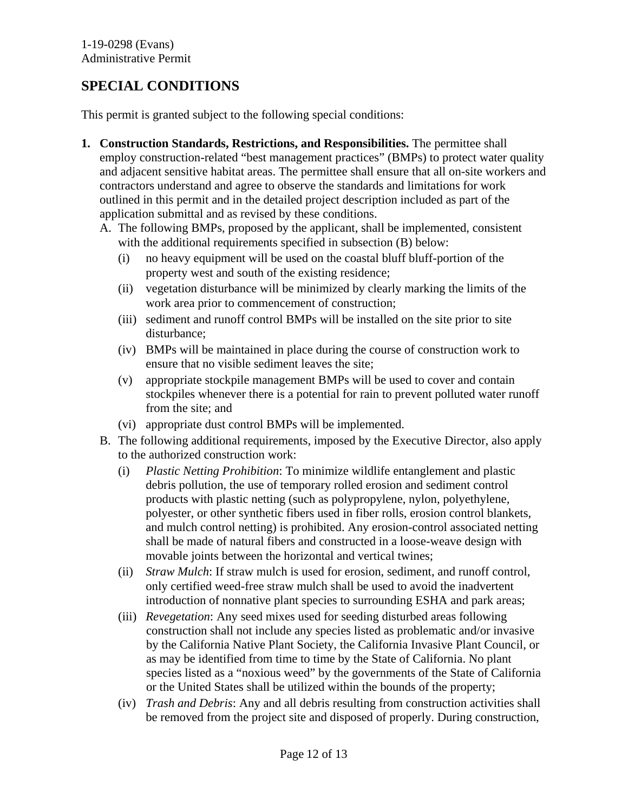# **SPECIAL CONDITIONS**

This permit is granted subject to the following special conditions:

- **1. Construction Standards, Restrictions, and Responsibilities.** The permittee shall employ construction-related "best management practices" (BMPs) to protect water quality and adjacent sensitive habitat areas. The permittee shall ensure that all on-site workers and contractors understand and agree to observe the standards and limitations for work outlined in this permit and in the detailed project description included as part of the application submittal and as revised by these conditions.
	- A. The following BMPs, proposed by the applicant, shall be implemented, consistent with the additional requirements specified in subsection (B) below:
		- (i) no heavy equipment will be used on the coastal bluff bluff-portion of the property west and south of the existing residence;
		- (ii) vegetation disturbance will be minimized by clearly marking the limits of the work area prior to commencement of construction;
		- (iii) sediment and runoff control BMPs will be installed on the site prior to site disturbance;
		- (iv) BMPs will be maintained in place during the course of construction work to ensure that no visible sediment leaves the site;
		- (v) appropriate stockpile management BMPs will be used to cover and contain stockpiles whenever there is a potential for rain to prevent polluted water runoff from the site; and
		- (vi) appropriate dust control BMPs will be implemented.
	- B. The following additional requirements, imposed by the Executive Director, also apply to the authorized construction work:
		- (i) *Plastic Netting Prohibition*: To minimize wildlife entanglement and plastic debris pollution, the use of temporary rolled erosion and sediment control products with plastic netting (such as polypropylene, nylon, polyethylene, polyester, or other synthetic fibers used in fiber rolls, erosion control blankets, and mulch control netting) is prohibited. Any erosion-control associated netting shall be made of natural fibers and constructed in a loose-weave design with movable joints between the horizontal and vertical twines;
		- (ii) *Straw Mulch*: If straw mulch is used for erosion, sediment, and runoff control, only certified weed-free straw mulch shall be used to avoid the inadvertent introduction of nonnative plant species to surrounding ESHA and park areas;
		- (iii) *Revegetation*: Any seed mixes used for seeding disturbed areas following construction shall not include any species listed as problematic and/or invasive by the California Native Plant Society, the California Invasive Plant Council, or as may be identified from time to time by the State of California. No plant species listed as a "noxious weed" by the governments of the State of California or the United States shall be utilized within the bounds of the property;
		- (iv) *Trash and Debris*: Any and all debris resulting from construction activities shall be removed from the project site and disposed of properly. During construction,